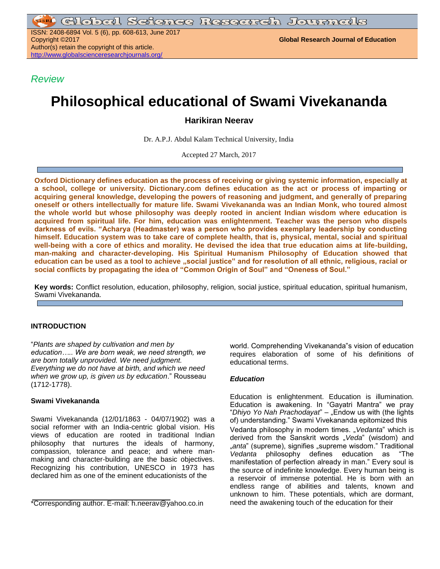ISSN: 2408-6894 Vol. 5 (6), pp. 608-613, June 2017 Copyright ©2017 **Global Research Journal of Education** Author(s) retain the copyright of this article. <http://www.globalscienceresearchjournals.org/>

*Review*

# **Philosophical educational of Swami Vivekananda**

## **Harikiran Neerav**

Dr. A.P.J. Abdul Kalam Technical University, India

Accepted 27 March, 2017

**Oxford Dictionary defines education as the process of receiving or giving systemic information, especially at a school, college or university. Dictionary.com defines education as the act or process of imparting or acquiring general knowledge, developing the powers of reasoning and judgment, and generally of preparing oneself or others intellectually for mature life. Swami Vivekananda was an Indian Monk, who toured almost the whole world but whose philosophy was deeply rooted in ancient Indian wisdom where education is acquired from spiritual life. For him, education was enlightenment. Teacher was the person who dispels darkness of evils. "Acharya (Headmaster) was a person who provides exemplary leadership by conducting himself. Education system was to take care of complete health, that is, physical, mental, social and spiritual well-being with a core of ethics and morality. He devised the idea that true education aims at life-building, man-making and character-developing. His Spiritual Humanism Philosophy of Education showed that education can be used as a tool to achieve "social justice" and for resolution of all ethnic, religious, racial or social conflicts by propagating the idea of "Common Origin of Soul" and "Oneness of Soul."**

**Key words:** Conflict resolution, education, philosophy, religion, social justice, spiritual education, spiritual humanism, Swami Vivekananda.

## **INTRODUCTION**

"*Plants are shaped by cultivation and men by education….. We are born weak, we need strength, we are born totally unprovided. We need judgment. Everything we do not have at birth, and which we need when we grow up, is given us by education*." Rousseau (1712-1778).

## **Swami Vivekananda**

Swami Vivekananda (12/01/1863 - 04/07/1902) was a social reformer with an India-centric global vision. His views of education are rooted in traditional Indian philosophy that nurtures the ideals of harmony, compassion, tolerance and peace; and where manmaking and character-building are the basic objectives. Recognizing his contribution, UNESCO in 1973 has declared him as one of the eminent educationists of the

world. Comprehending Vivekananda"s vision of education requires elaboration of some of his definitions of educational terms.

## *Education*

Education is enlightenment. Education is illumination. Education is awakening. In "Gayatri Mantra" we pray "Dhiyo Yo Nah Prachodayat" – "Endow us with (the lights of) understanding." Swami Vivekananda epitomized this Vedanta philosophy in modern times. "*Vedanta*" which is derived from the Sanskrit words "*Veda*" (wisdom) and "*anta*" (supreme), signifies "supreme wisdom." Traditional *Vedanta* philosophy defines education as "The manifestation of perfection already in man." Every soul is the source of indefinite knowledge. Every human being is a reservoir of immense potential. He is born with an endless range of abilities and talents, known and unknown to him. These potentials, which are dormant, need the awakening touch of the education for their

<sup>\*</sup>Corresponding author. E-mail: h.neerav@yahoo.co.in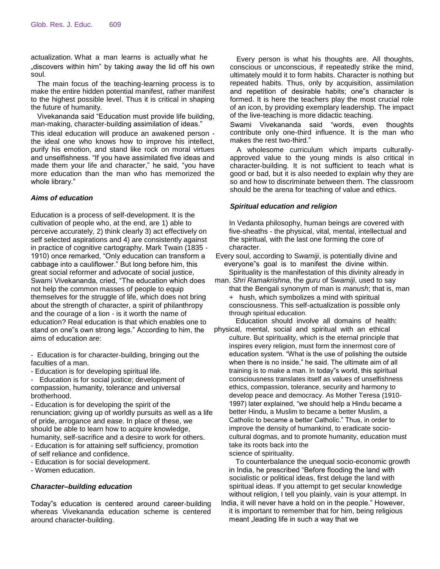actualization. What a man learns is actually what he .discovers within him" by taking away the lid off his own soul.

The main focus of the teaching-learning process is to make the entire hidden potential manifest, rather manifest to the highest possible level. Thus it is critical in shaping the future of humanity.

Vivekananda said "Education must provide life building, man-making, character-building assimilation of ideas."

This ideal education will produce an awakened person the ideal one who knows how to improve his intellect, purify his emotion, and stand like rock on moral virtues and unselfishness. "If you have assimilated five ideas and made them your life and character," he said, "you have more education than the man who has memorized the whole library."

## *Aims of education*

Education is a process of self-development. It is the cultivation of people who, at the end, are 1) able to perceive accurately, 2) think clearly 3) act effectively on self selected aspirations and 4) are consistently against in practice of cognitive cartography. Mark Twain (1835 - 1910) once remarked, "Only education can transform a cabbage into a cauliflower." But long before him, this great social reformer and advocate of social justice, Swami Vivekananda, cried, "The education which does not help the common masses of people to equip themselves for the struggle of life, which does not bring about the strength of character, a spirit of philanthropy and the courage of a lion - is it worth the name of education? Real education is that which enables one to stand on one"s own strong legs." According to him, the aims of education are:

- Education is for character-building, bringing out the faculties of a man.

- Education is for developing spiritual life.

Education is for social justice; development of compassion, humanity, tolerance and universal brotherhood.

- Education is for developing the spirit of the renunciation; giving up of worldly pursuits as well as a life of pride, arrogance and ease. In place of these, we should be able to learn how to acquire knowledge, humanity, self-sacrifice and a desire to work for others. - Education is for attaining self sufficiency, promotion of self reliance and confidence.

- Education is for social development.

- Women education.

#### *Character–building education*

Today"s education is centered around career-building whereas Vivekananda education scheme is centered around character-building.

Every person is what his thoughts are. All thoughts, conscious or unconscious, if repeatedly strike the mind, ultimately mould it to form habits. Character is nothing but repeated habits. Thus, only by acquisition, assimilation and repetition of desirable habits; one"s character is formed. It is here the teachers play the most crucial role of an icon, by providing exemplary leadership. The impact of the live-teaching is more didactic teaching.

Swami Vivekananda said "words, even thoughts contribute only one-third influence. It is the man who makes the rest two-third."

A wholesome curriculum which imparts culturallyapproved value to the young minds is also critical in character-building. It is not sufficient to teach what is good or bad, but it is also needed to explain why they are so and how to discriminate between them. The classroom should be the arena for teaching of value and ethics.

### *Spiritual education and religion*

In Vedanta philosophy, human beings are covered with five-sheaths - the physical, vital, mental, intellectual and the spiritual, with the last one forming the core of character.

Every soul, according to S*wamiji*, is potentially divine and everyone"s goal is to manifest the divine within.

Spirituality is the manifestation of this divinity already in man. *Shri Ramakrishna*, the *guru* of S*wamiji*, used to say that the Bengali synonym of man is *manush*; that is, man + hush, which symbolizes a mind with spiritual consciousness. This self-actualization is possible only through spiritual education.

Education should involve all domains of health: physical, mental, social and spiritual with an ethical

culture. But spirituality, which is the eternal principle that inspires every religion, must form the innermost core of education system. "What is the use of polishing the outside when there is no inside," he said. The ultimate aim of all training is to make a man. In today"s world, this spiritual consciousness translates itself as values of unselfishness ethics, compassion, tolerance, security and harmony to develop peace and democracy. As Mother Teresa (1910- 1997) later explained, "we should help a Hindu became a better Hindu, a Muslim to became a better Muslim, a Catholic to became a better Catholic." Thus, in order to improve the density of humankind, to eradicate sociocultural dogmas, and to promote humanity, education must take its roots back into the

science of spirituality.

To counterbalance the unequal socio-economic growth in India, he prescribed "Before flooding the land with socialistic or political ideas, first deluge the land with spiritual ideas. If you attempt to get secular knowledge without religion, I tell you plainly, vain is your attempt. In

India, it will never have a hold on in the people." However, it is important to remember that for him, being religious meant "leading life in such a way that we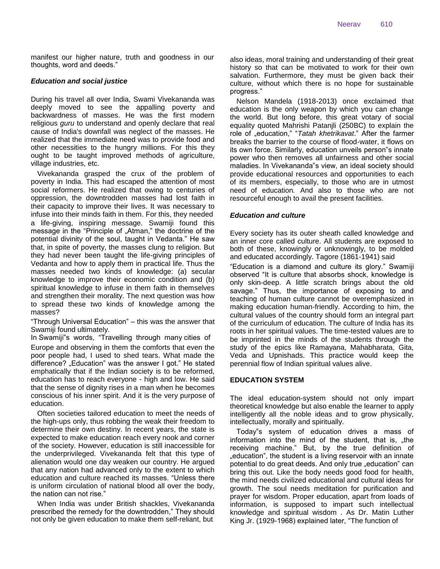manifest our higher nature, truth and goodness in our thoughts, word and deeds."

#### *Education and social justice*

During his travel all over India, Swami Vivekananda was deeply moved to see the appalling poverty and backwardness of masses. He was the first modern religious *guru* to understand and openly declare that real cause of India's downfall was neglect of the masses. He realized that the immediate need was to provide food and other necessities to the hungry millions. For this they ought to be taught improved methods of agriculture, village industries, etc.

Vivekananda grasped the crux of the problem of poverty in India. This had escaped the attention of most social reformers. He realized that owing to centuries of oppression, the downtrodden masses had lost faith in their capacity to improve their lives. It was necessary to infuse into their minds faith in them. For this, they needed a life-giving, inspiring message. Swamiji found this message in the "Principle of "Atman," the doctrine of the potential divinity of the soul, taught in Vedanta." He saw that, in spite of poverty, the masses clung to religion. But they had never been taught the life-giving principles of Vedanta and how to apply them in practical life. Thus the masses needed two kinds of knowledge: (a) secular knowledge to improve their economic condition and (b) spiritual knowledge to infuse in them faith in themselves and strengthen their morality. The next question was how to spread these two kinds of knowledge among the masses?

"Through Universal Education" – this was the answer that Swamiji found ultimately.

In Swamiji"s words, "Travelling through many cities of Europe and observing in them the comforts that even the poor people had, I used to shed tears. What made the difference? "Education" was the answer I got." He stated emphatically that if the Indian society is to be reformed, education has to reach everyone - high and low. He said that the sense of dignity rises in a man when he becomes conscious of his inner spirit. And it is the very purpose of education.

Often societies tailored education to meet the needs of the high-ups only, thus robbing the weak their freedom to determine their own destiny. In recent years, the state is expected to make education reach every nook and corner of the society. However, education is still inaccessible for the underprivileged. Vivekananda felt that this type of alienation would one day weaken our country. He argued that any nation had advanced only to the extent to which education and culture reached its masses. "Unless there is uniform circulation of national blood all over the body, the nation can not rise."

When India was under British shackles, Vivekananda prescribed the remedy for the downtrodden," They should not only be given education to make them self-reliant, but

also ideas, moral training and understanding of their great history so that can be motivated to work for their own salvation. Furthermore, they must be given back their culture, without which there is no hope for sustainable progress."

Nelson Mandela (1918-2013) once exclaimed that education is the only weapon by which you can change the world. But long before, this great votary of social equality quoted Mahrishi Patanjli (250BC) to explain the role of "education," "*Tatah khetrikavat*." After the farmer breaks the barrier to the course of flood-water, it flows on its own force. Similarly, education unveils person"s innate power who then removes all unfairness and other social maladies. In Vivekananda"s view, an ideal society should provide educational resources and opportunities to each of its members, especially, to those who are in utmost need of education. And also to those who are not resourceful enough to avail the present facilities.

#### *Education and culture*

Every society has its outer sheath called knowledge and an inner core called culture. All students are exposed to both of these, knowingly or unknowingly, to be molded and educated accordingly. Tagore (1861-1941) said

"Education is a diamond and culture its glory." Swamiji observed "It is culture that absorbs shock, knowledge is only skin-deep. A little scratch brings about the old savage." Thus, the importance of exposing to and teaching of human culture cannot be overemphasized in making education human-friendly. According to him, the cultural values of the country should form an integral part of the curriculum of education. The culture of India has its roots in her spiritual values. The time-tested values are to be imprinted in the minds of the students through the study of the epics like Ramayana, Mahabharata, Gita, Veda and Upnishads. This practice would keep the perennial flow of Indian spiritual values alive.

#### **EDUCATION SYSTEM**

The ideal education-system should not only impart theoretical knowledge but also enable the learner to apply intelligently all the noble ideas and to grow physically, intellectually, morally and spiritually.

Today"s system of education drives a mass of information into the mind of the student, that is, the receiving machine." But, by the true definition of "education", the student is a living reservoir with an innate. potential to do great deeds. And only true "education" can bring this out. Like the body needs good food for health, the mind needs civilized educational and cultural ideas for growth. The soul needs meditation for purification and prayer for wisdom. Proper education, apart from loads of information, is supposed to impart such intellectual knowledge and spiritual wisdom . As Dr. Matin Luther King Jr. (1929-1968) explained later, "The function of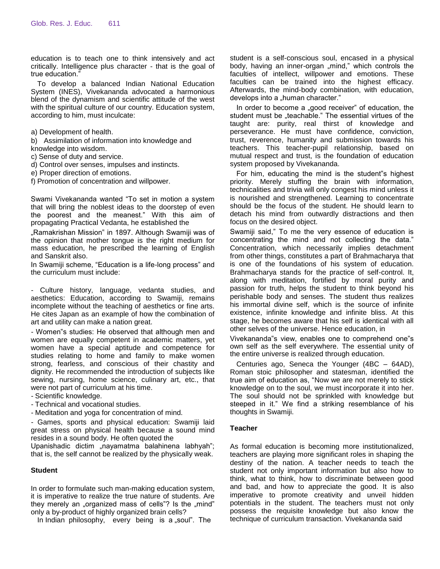education is to teach one to think intensively and act critically. Intelligence plus character - that is the goal of true education."

To develop a balanced Indian National Education System (INES), Vivekananda advocated a harmonious blend of the dynamism and scientific attitude of the west with the spiritual culture of our country. Education system, according to him, must inculcate:

a) Development of health.

b) Assimilation of information into knowledge and

knowledge into wisdom.

c) Sense of duty and service.

d) Control over senses, impulses and instincts.

e) Proper direction of emotions.

f) Promotion of concentration and willpower.

Swami Vivekananda wanted "To set in motion a system that will bring the noblest ideas to the doorstep of even the poorest and the meanest." With this aim of propagating Practical Vedanta, he established the

"Ramakrishan Mission" in 1897. Although Swamiji was of the opinion that mother tongue is the right medium for mass education, he prescribed the learning of English and Sanskrit also.

In Swamiji scheme, "Education is a life-long process" and the curriculum must include:

- Culture history, language, vedanta studies, and aesthetics: Education, according to Swamiji, remains incomplete without the teaching of aesthetics or fine arts. He cites Japan as an example of how the combination of art and utility can make a nation great.

- Women"s studies: He observed that although men and women are equally competent in academic matters, yet women have a special aptitude and competence for studies relating to home and family to make women strong, fearless, and conscious of their chastity and dignity. He recommended the introduction of subjects like sewing, nursing, home science, culinary art, etc., that were not part of curriculum at his time.

- Scientific knowledge.

- Technical and vocational studies.

- Meditation and yoga for concentration of mind.

- Games, sports and physical education: Swamiji laid great stress on physical health because a sound mind resides in a sound body. He often quoted the

Upanishadic dictim "nayamatma balahinena labhyah"; that is, the self cannot be realized by the physically weak.

#### **Student**

In order to formulate such man-making education system, it is imperative to realize the true nature of students. Are they merely an "organized mass of cells"? Is the "mind" only a by-product of highly organized brain cells?

In Indian philosophy, every being is  $a$  soul". The

student is a self-conscious soul, encased in a physical body, having an inner-organ "mind," which controls the faculties of intellect, willpower and emotions. These faculties can be trained into the highest efficacy. Afterwards, the mind-body combination, with education, develops into a "human character."

In order to become a "good receiver" of education, the student must be "teachable." The essential virtues of the taught are: purity, real thirst of knowledge and perseverance. He must have confidence, conviction, trust, reverence, humanity and submission towards his teachers. This teacher-pupil relationship, based on mutual respect and trust, is the foundation of education system proposed by Vivekananda.

For him, educating the mind is the student"s highest priority. Merely stuffing the brain with information, technicalities and trivia will only congest his mind unless it is nourished and strengthened. Learning to concentrate should be the focus of the student. He should learn to detach his mind from outwardly distractions and then focus on the desired object.

Swamiji said," To me the very essence of education is concentrating the mind and not collecting the data." Concentration, which necessarily implies detachment from other things, constitutes a part of Brahmacharya that is one of the foundations of his system of education. Brahmacharya stands for the practice of self-control. It, along with meditation, fortified by moral purity and passion for truth, helps the student to think beyond his perishable body and senses. The student thus realizes his immortal divine self, which is the source of infinite existence, infinite knowledge and infinite bliss. At this stage, he becomes aware that his self is identical with all other selves of the universe. Hence education, in

Vivekananda"s view, enables one to comprehend one"s own self as the self everywhere. The essential unity of the entire universe is realized through education.

Centuries ago, Seneca the Younger (4BC – 64AD), Roman stoic philosopher and statesman, identified the true aim of education as, "Now we are not merely to stick knowledge on to the soul, we must incorporate it into her. The soul should not be sprinkled with knowledge but steeped in it." We find a striking resemblance of his thoughts in Swamiji.

#### **Teacher**

As formal education is becoming more institutionalized, teachers are playing more significant roles in shaping the destiny of the nation. A teacher needs to teach the student not only important information but also how to think, what to think, how to discriminate between good and bad, and how to appreciate the good. It is also imperative to promote creativity and unveil hidden potentials in the student. The teachers must not only possess the requisite knowledge but also know the technique of curriculum transaction. Vivekananda said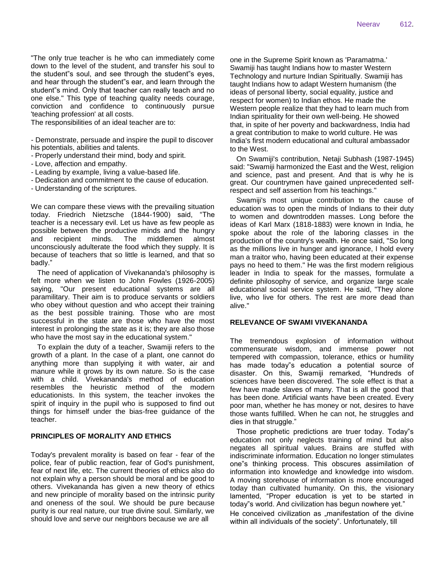"The only true teacher is he who can immediately come down to the level of the student, and transfer his soul to the student"s soul, and see through the student"s eyes, and hear through the student"s ear, and learn through the student"s mind. Only that teacher can really teach and no one else." This type of teaching quality needs courage, conviction and confidence to continuously pursue 'teaching profession' at all costs.

The responsibilities of an ideal teacher are to:

- Demonstrate, persuade and inspire the pupil to discover his potentials, abilities and talents.

- Properly understand their mind, body and spirit.
- Love, affection and empathy.
- Leading by example, living a value-based life.
- Dedication and commitment to the cause of education.
- Understanding of the scriptures.

We can compare these views with the prevailing situation today. Friedrich Nietzsche (1844-1900) said, "The teacher is a necessary evil. Let us have as few people as possible between the productive minds and the hungry and recipient minds. The middlemen almost unconsciously adulterate the food which they supply. It is because of teachers that so little is learned, and that so badly."

The need of application of Vivekananda's philosophy is felt more when we listen to John Fowles (1926-2005) saying, "Our present educational systems are all paramilitary. Their aim is to produce servants or soldiers who obey without question and who accept their training as the best possible training. Those who are most successful in the state are those who have the most interest in prolonging the state as it is; they are also those who have the most say in the educational system."

To explain the duty of a teacher, Swamiji refers to the growth of a plant. In the case of a plant, one cannot do anything more than supplying it with water, air and manure while it grows by its own nature. So is the case with a child. Vivekananda's method of education resembles the heuristic method of the modern educationists. In this system, the teacher invokes the spirit of inquiry in the pupil who is supposed to find out things for himself under the bias-free guidance of the teacher.

#### **PRINCIPLES OF MORALITY AND ETHICS**

Today's prevalent morality is based on fear - fear of the police, fear of public reaction, fear of God's punishment, fear of next life, etc. The current theories of ethics also do not explain why a person should be moral and be good to others. Vivekananda has given a new theory of ethics and new principle of morality based on the intrinsic purity and oneness of the soul. We should be pure because purity is our real nature, our true divine soul. Similarly, we should love and serve our neighbors because we are all

one in the Supreme Spirit known as 'Paramatma.' Swamiji has taught Indians how to master Western Technology and nurture Indian Spiritually. Swamiji has taught Indians how to adapt Western humanism (the ideas of personal liberty, social equality, justice and respect for women) to Indian ethos. He made the Western people realize that they had to learn much from Indian spirituality for their own well-being. He showed that, in spite of her poverty and backwardness, India had a great contribution to make to world culture. He was India's first modern educational and cultural ambassador to the West.

On Swamiji's contribution, Netaji Subhash (1987-1945) said: "Swamiji harmonized the East and the West, religion and science, past and present. And that is why he is great. Our countrymen have gained unprecedented selfrespect and self assertion from his teachings."

Swamiji's most unique contribution to the cause of education was to open the minds of Indians to their duty to women and downtrodden masses. Long before the ideas of Karl Marx (1818-1883) were known in India, he spoke about the role of the laboring classes in the production of the country's wealth. He once said, "So long as the millions live in hunger and ignorance, I hold every man a traitor who, having been educated at their expense pays no heed to them." He was the first modern religious leader in India to speak for the masses, formulate a definite philosophy of service, and organize large scale educational social service system. He said, "They alone live, who live for others. The rest are more dead than alive."

#### **RELEVANCE OF SWAMI VIVEKANANDA**

The tremendous explosion of information without commensurate wisdom, and immense power not tempered with compassion, tolerance, ethics or humility has made today"s education a potential source of disaster. On this, Swamiji remarked, "Hundreds of sciences have been discovered. The sole effect is that a few have made slaves of many. That is all the good that has been done. Artificial wants have been created. Every poor man, whether he has money or not, desires to have those wants fulfilled. When he can not, he struggles and dies in that struggle."

Those prophetic predictions are truer today. Today"s education not only neglects training of mind but also negates all spiritual values. Brains are stuffed with indiscriminate information. Education no longer stimulates one"s thinking process. This obscures assimilation of information into knowledge and knowledge into wisdom. A moving storehouse of information is more encouraged today than cultivated humanity. On this, the visionary lamented, "Proper education is yet to be started in today"s world. And civilization has begun nowhere yet."

He conceived civilization as "manifestation of the divine within all individuals of the society". Unfortunately, till